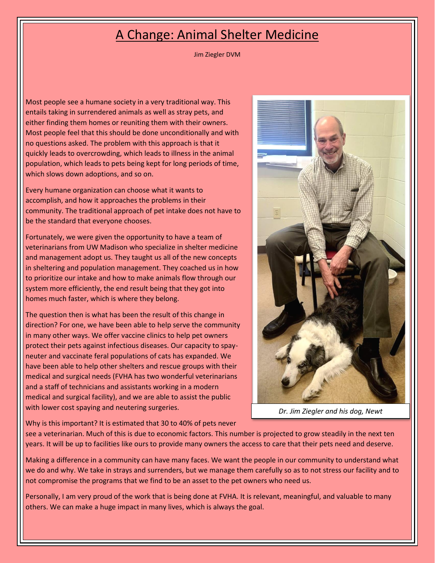## A Change: Animal Shelter Medicine

Jim Ziegler DVM

Most people see a humane society in a very traditional way. This entails taking in surrendered animals as well as stray pets, and either finding them homes or reuniting them with their owners. Most people feel that this should be done unconditionally and with no questions asked. The problem with this approach is that it quickly leads to overcrowding, which leads to illness in the animal population, which leads to pets being kept for long periods of time, which slows down adoptions, and so on.

Every humane organization can choose what it wants to accomplish, and how it approaches the problems in their community. The traditional approach of pet intake does not have to be the standard that everyone chooses.

Fortunately, we were given the opportunity to have a team of veterinarians from UW Madison who specialize in shelter medicine and management adopt us. They taught us all of the new concepts in sheltering and population management. They coached us in how to prioritize our intake and how to make animals flow through our system more efficiently, the end result being that they got into homes much faster, which is where they belong.

The question then is what has been the result of this change in direction? For one, we have been able to help serve the community in many other ways. We offer vaccine clinics to help pet owners protect their pets against infectious diseases. Our capacity to spayneuter and vaccinate feral populations of cats has expanded. We have been able to help other shelters and rescue groups with their medical and surgical needs (FVHA has two wonderful veterinarians and a staff of technicians and assistants working in a modern medical and surgical facility), and we are able to assist the public with lower cost spaying and neutering surgeries.



*Dr. Jim Ziegler and his dog, Newt*

Why is this important? It is estimated that 30 to 40% of pets never

see a veterinarian. Much of this is due to economic factors. This number is projected to grow steadily in the next ten years. It will be up to facilities like ours to provide many owners the access to care that their pets need and deserve.

Making a difference in a community can have many faces. We want the people in our community to understand what we do and why. We take in strays and surrenders, but we manage them carefully so as to not stress our facility and to not compromise the programs that we find to be an asset to the pet owners who need us.

Personally, I am very proud of the work that is being done at FVHA. It is relevant, meaningful, and valuable to many others. We can make a huge impact in many lives, which is always the goal.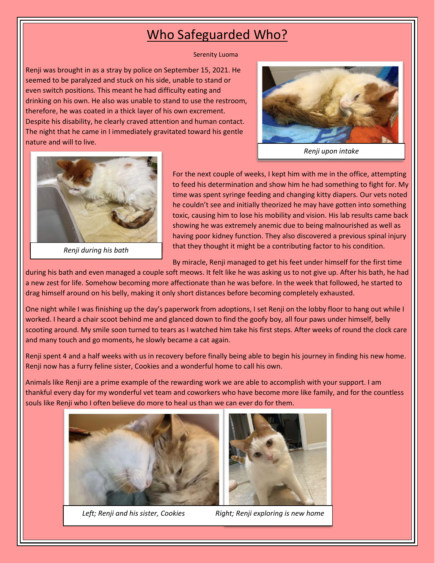## Who Safeguarded Who?

Serenity Luoma

Renji was brought in as a stray by police on September 15, 2021. He seemed to be paralyzed and stuck on his side, unable to stand or even switch positions. This meant he had difficulty eating and drinking on his own. He also was unable to stand to use the restroom, therefore, he was coated in a thick layer of his own excrement. Despite his disability, he clearly craved attention and human contact. The night that he came in I immediately gravitated toward his gentle nature and will to live.



*Renji upon intake*



*Renji during his bath*

For the next couple of weeks, I kept him with me in the office, attempting to feed his determination and show him he had something to fight for. My time was spent syringe feeding and changing kitty diapers. Our vets noted he couldn't see and initially theorized he may have gotten into something toxic, causing him to lose his mobility and vision. His lab results came back showing he was extremely anemic due to being malnourished as well as having poor kidney function. They also discovered a previous spinal injury that they thought it might be a contributing factor to his condition.

By miracle, Renji managed to get his feet under himself for the first time

during his bath and even managed a couple soft meows. It felt like he was asking us to not give up. After his bath, he had a new zest for life. Somehow becoming more affectionate than he was before. In the week that followed, he started to drag himself around on his belly, making it only short distances before becoming completely exhausted.

One night while I was finishing up the day's paperwork from adoptions, I set Renji on the lobby floor to hang out while I worked. I heard a chair scoot behind me and glanced down to find the goofy boy, all four paws under himself, belly scooting around. My smile soon turned to tears as I watched him take his first steps. After weeks of round the clock care and many touch and go moments, he slowly became a cat again.

Renji spent 4 and a half weeks with us in recovery before finally being able to begin his journey in finding his new home. Renji now has a furry feline sister, Cookies and a wonderful home to call his own.

Animals like Renji are a prime example of the rewarding work we are able to accomplish with your support. I am thankful every day for my wonderful vet team and coworkers who have become more like family, and for the countless souls like Renji who I often believe do more to heal us than we can ever do for them.





Left; Renji and his sister, Cookies Right; Renji exploring is new home